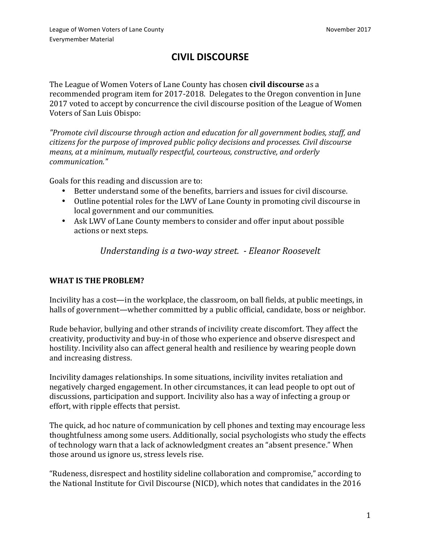# **CIVIL DISCOURSE**

The League of Women Voters of Lane County has chosen **civil discourse** as a recommended program item for 2017-2018. Delegates to the Oregon convention in June 2017 voted to accept by concurrence the civil discourse position of the League of Women Voters of San Luis Obispo:

*"Promote civil discourse through action and education for all government bodies, staff, and citizens for the purpose of improved public policy decisions and processes. Civil discourse means, at a minimum, mutually respectful, courteous, constructive, and orderly communication."*

Goals for this reading and discussion are to:

- Better understand some of the benefits, barriers and issues for civil discourse.
- Outline potential roles for the LWV of Lane County in promoting civil discourse in local government and our communities.
- Ask LWV of Lane County members to consider and offer input about possible actions or next steps.

*Understanding is a two-way street. - Eleanor Roosevelt* 

### **WHAT IS THE PROBLEM?**

Incivility has a cost—in the workplace, the classroom, on ball fields, at public meetings, in halls of government—whether committed by a public official, candidate, boss or neighbor.

Rude behavior, bullying and other strands of incivility create discomfort. They affect the creativity, productivity and buy-in of those who experience and observe disrespect and hostility. Incivility also can affect general health and resilience by wearing people down and increasing distress.

Incivility damages relationships. In some situations, incivility invites retaliation and negatively charged engagement. In other circumstances, it can lead people to opt out of discussions, participation and support. Incivility also has a way of infecting a group or effort, with ripple effects that persist.

The quick, ad hoc nature of communication by cell phones and texting may encourage less thoughtfulness among some users. Additionally, social psychologists who study the effects of technology warn that a lack of acknowledgment creates an "absent presence." When those around us ignore us, stress levels rise.

"Rudeness, disrespect and hostility sideline collaboration and compromise," according to the National Institute for Civil Discourse (NICD), which notes that candidates in the 2016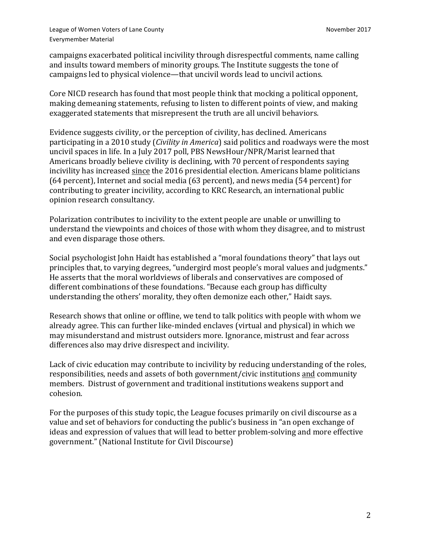League of Women Voters of Lane County November 2017 Everymember Material

campaigns exacerbated political incivility through disrespectful comments, name calling and insults toward members of minority groups. The Institute suggests the tone of campaigns led to physical violence—that uncivil words lead to uncivil actions.

Core NICD research has found that most people think that mocking a political opponent, making demeaning statements, refusing to listen to different points of view, and making exaggerated statements that misrepresent the truth are all uncivil behaviors.

Evidence suggests civility, or the perception of civility, has declined. Americans participating in a 2010 study (*Civility in America*) said politics and roadways were the most uncivil spaces in life. In a July 2017 poll, PBS NewsHour/NPR/Marist learned that Americans broadly believe civility is declining, with 70 percent of respondents saying incivility has increased since the 2016 presidential election. Americans blame politicians (64 percent), Internet and social media (63 percent), and news media (54 percent) for contributing to greater incivility, according to KRC Research, an international public opinion research consultancy.

Polarization contributes to incivility to the extent people are unable or unwilling to understand the viewpoints and choices of those with whom they disagree, and to mistrust and even disparage those others.

Social psychologist John Haidt has established a "moral foundations theory" that lays out principles that, to varying degrees, "undergird most people's moral values and judgments." He asserts that the moral worldviews of liberals and conservatives are composed of different combinations of these foundations. "Because each group has difficulty understanding the others' morality, they often demonize each other," Haidt says.

Research shows that online or offline, we tend to talk politics with people with whom we already agree. This can further like-minded enclaves (virtual and physical) in which we may misunderstand and mistrust outsiders more. Ignorance, mistrust and fear across differences also may drive disrespect and incivility.

Lack of civic education may contribute to incivility by reducing understanding of the roles, responsibilities, needs and assets of both government/civic institutions and community members. Distrust of government and traditional institutions weakens support and cohesion.

For the purposes of this study topic, the League focuses primarily on civil discourse as a value and set of behaviors for conducting the public's business in "an open exchange of ideas and expression of values that will lead to better problem-solving and more effective government." (National Institute for Civil Discourse)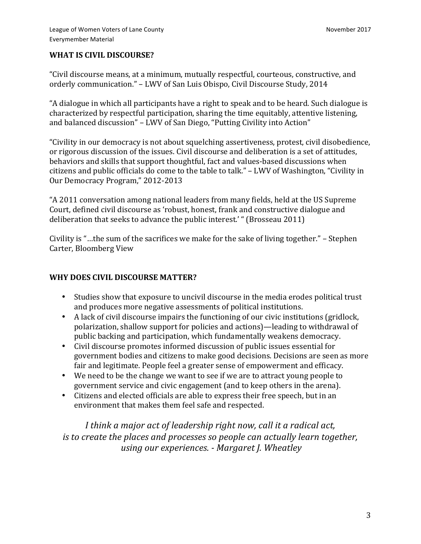#### **WHAT IS CIVIL DISCOURSE?**

"Civil discourse means, at a minimum, mutually respectful, courteous, constructive, and orderly communication." – LWV of San Luis Obispo, Civil Discourse Study, 2014

"A dialogue in which all participants have a right to speak and to be heard. Such dialogue is characterized by respectful participation, sharing the time equitably, attentive listening, and balanced discussion" – LWV of San Diego, "Putting Civility into Action"

"Civility in our democracy is not about squelching assertiveness, protest, civil disobedience, or rigorous discussion of the issues. Civil discourse and deliberation is a set of attitudes, behaviors and skills that support thoughtful, fact and values-based discussions when citizens and public officials do come to the table to talk." - LWV of Washington, "Civility in Our Democracy Program," 2012-2013

"A 2011 conversation among national leaders from many fields, held at the US Supreme Court, defined civil discourse as 'robust, honest, frank and constructive dialogue and deliberation that seeks to advance the public interest.' " (Brosseau 2011)

Civility is "...the sum of the sacrifices we make for the sake of living together."  $-$  Stephen Carter, Bloomberg View

#### WHY DOES CIVIL DISCOURSE MATTER?

- Studies show that exposure to uncivil discourse in the media erodes political trust and produces more negative assessments of political institutions.
- A lack of civil discourse impairs the functioning of our civic institutions (gridlock, polarization, shallow support for policies and actions)—leading to withdrawal of public backing and participation, which fundamentally weakens democracy.
- Civil discourse promotes informed discussion of public issues essential for government bodies and citizens to make good decisions. Decisions are seen as more fair and legitimate. People feel a greater sense of empowerment and efficacy.
- We need to be the change we want to see if we are to attract young people to government service and civic engagement (and to keep others in the arena).
- Citizens and elected officials are able to express their free speech, but in an environment that makes them feel safe and respected.

*I* think a major act of leadership right now, call it a radical act, *is* to create the places and processes so people can actually learn together, *using our experiences.* - Margaret J. Wheatley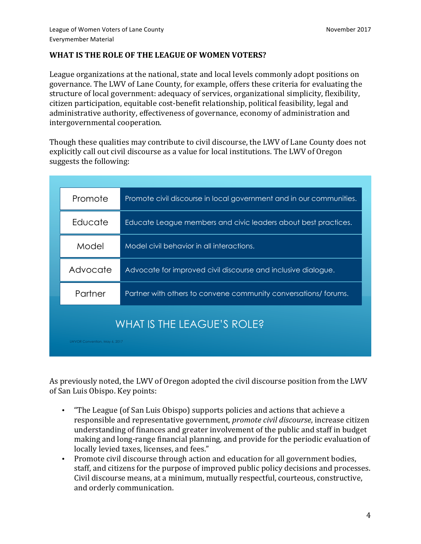### WHAT IS THE ROLE OF THE LEAGUE OF WOMEN VOTERS?

League organizations at the national, state and local levels commonly adopt positions on governance. The LWV of Lane County, for example, offers these criteria for evaluating the structure of local government: adequacy of services, organizational simplicity, flexibility, citizen participation, equitable cost-benefit relationship, political feasibility, legal and administrative authority, effectiveness of governance, economy of administration and intergovernmental cooperation.

Though these qualities may contribute to civil discourse, the LWV of Lane County does not explicitly call out civil discourse as a value for local institutions. The LWV of Oregon suggests the following:

| Promote                                                     | Promote civil discourse in local government and in our communities. |
|-------------------------------------------------------------|---------------------------------------------------------------------|
| Educate                                                     | Educate League members and civic leaders about best practices.      |
| Model                                                       | Model civil behavior in all interactions.                           |
| Advocate                                                    | Advocate for improved civil discourse and inclusive dialogue.       |
| Partner                                                     | Partner with others to convene community conversations/forums.      |
| WHAT IS THE LEAGUE'S ROLE?<br>LWVOR Convention, May 6, 2017 |                                                                     |

As previously noted, the LWV of Oregon adopted the civil discourse position from the LWV of San Luis Obispo. Key points:

- "The League (of San Luis Obispo) supports policies and actions that achieve a responsible and representative government, *promote civil discourse*, increase citizen understanding of finances and greater involvement of the public and staff in budget making and long-range financial planning, and provide for the periodic evaluation of locally levied taxes, licenses, and fees."
- Promote civil discourse through action and education for all government bodies, staff, and citizens for the purpose of improved public policy decisions and processes. Civil discourse means, at a minimum, mutually respectful, courteous, constructive, and orderly communication.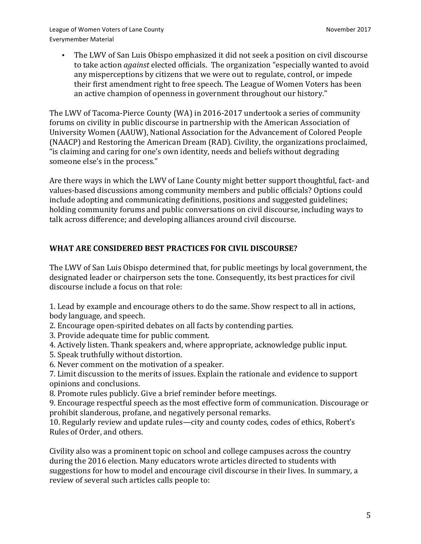The LWV of San Luis Obispo emphasized it did not seek a position on civil discourse to take action *against* elected officials. The organization "especially wanted to avoid any misperceptions by citizens that we were out to regulate, control, or impede their first amendment right to free speech. The League of Women Voters has been an active champion of openness in government throughout our history."

The LWV of Tacoma-Pierce County (WA) in 2016-2017 undertook a series of community forums on civility in public discourse in partnership with the American Association of University Women (AAUW), National Association for the Advancement of Colored People (NAACP) and Restoring the American Dream (RAD). Civility, the organizations proclaimed, "is claiming and caring for one's own identity, needs and beliefs without degrading someone else's in the process."

Are there ways in which the LWV of Lane County might better support thoughtful, fact- and values-based discussions among community members and public officials? Options could include adopting and communicating definitions, positions and suggested guidelines; holding community forums and public conversations on civil discourse, including ways to talk across difference; and developing alliances around civil discourse.

## WHAT ARE CONSIDERED BEST PRACTICES FOR CIVIL DISCOURSE?

The LWV of San Luis Obispo determined that, for public meetings by local government, the designated leader or chairperson sets the tone. Consequently, its best practices for civil discourse include a focus on that role:

1. Lead by example and encourage others to do the same. Show respect to all in actions, body language, and speech.

- 2. Encourage open-spirited debates on all facts by contending parties.
- 3. Provide adequate time for public comment.
- 4. Actively listen. Thank speakers and, where appropriate, acknowledge public input.
- 5. Speak truthfully without distortion.
- 6. Never comment on the motivation of a speaker.
- 7. Limit discussion to the merits of issues. Explain the rationale and evidence to support opinions and conclusions.
- 8. Promote rules publicly. Give a brief reminder before meetings.

9. Encourage respectful speech as the most effective form of communication. Discourage or prohibit slanderous, profane, and negatively personal remarks.

10. Regularly review and update rules—city and county codes, codes of ethics, Robert's Rules of Order, and others.

Civility also was a prominent topic on school and college campuses across the country during the 2016 election. Many educators wrote articles directed to students with suggestions for how to model and encourage civil discourse in their lives. In summary, a review of several such articles calls people to: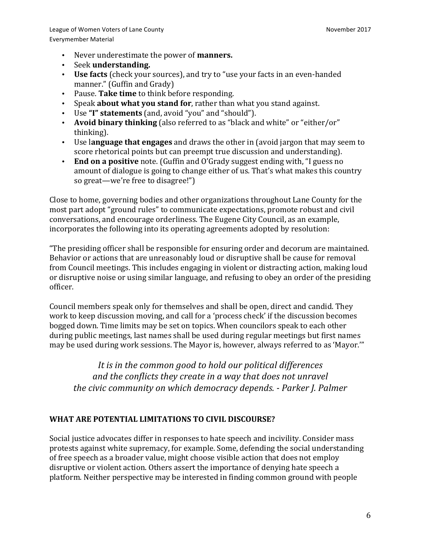- Never underestimate the power of **manners.**
- Seek **understanding.**
- Use facts (check your sources), and try to "use your facts in an even-handed manner." (Guffin and Grady)
- Pause. Take time to think before responding.
- Speak **about what you stand for**, rather than what you stand against.
- Use "I" statements (and, avoid "you" and "should").
- **Avoid binary thinking** (also referred to as "black and white" or "either/or" thinking).
- Use **language that engages** and draws the other in (avoid jargon that may seem to score rhetorical points but can preempt true discussion and understanding).
- **End on a positive** note. (Guffin and O'Grady suggest ending with, "I guess no amount of dialogue is going to change either of us. That's what makes this country so great—we're free to disagree!")

Close to home, governing bodies and other organizations throughout Lane County for the most part adopt "ground rules" to communicate expectations, promote robust and civil conversations, and encourage orderliness. The Eugene City Council, as an example, incorporates the following into its operating agreements adopted by resolution:

"The presiding officer shall be responsible for ensuring order and decorum are maintained. Behavior or actions that are unreasonably loud or disruptive shall be cause for removal from Council meetings. This includes engaging in violent or distracting action, making loud or disruptive noise or using similar language, and refusing to obey an order of the presiding officer. 

Council members speak only for themselves and shall be open, direct and candid. They work to keep discussion moving, and call for a 'process check' if the discussion becomes bogged down. Time limits may be set on topics. When councilors speak to each other during public meetings, last names shall be used during regular meetings but first names may be used during work sessions. The Mayor is, however, always referred to as 'Mayor.'"

It is in the common good to hold our political differences and the conflicts they create in a way that does not unravel *the civic community on which democracy depends.* - *Parker J. Palmer* 

## **WHAT ARE POTENTIAL LIMITATIONS TO CIVIL DISCOURSE?**

Social justice advocates differ in responses to hate speech and incivility. Consider mass protests against white supremacy, for example. Some, defending the social understanding of free speech as a broader value, might choose visible action that does not employ disruptive or violent action. Others assert the importance of denying hate speech a platform. Neither perspective may be interested in finding common ground with people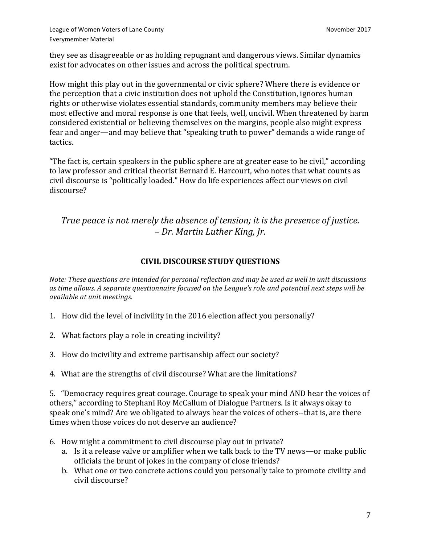League of Women Voters of Lane County November 2017 Everymember Material

they see as disagreeable or as holding repugnant and dangerous views. Similar dynamics exist for advocates on other issues and across the political spectrum.

How might this play out in the governmental or civic sphere? Where there is evidence or the perception that a civic institution does not uphold the Constitution, ignores human rights or otherwise violates essential standards, community members may believe their most effective and moral response is one that feels, well, uncivil. When threatened by harm considered existential or believing themselves on the margins, people also might express fear and anger—and may believe that "speaking truth to power" demands a wide range of tactics. 

"The fact is, certain speakers in the public sphere are at greater ease to be civil," according to law professor and critical theorist Bernard E. Harcourt, who notes that what counts as civil discourse is "politically loaded." How do life experiences affect our views on civil discourse? 

*True* peace is not merely the absence of tension; it is the presence of justice. *– Dr. Martin Luther King, Jr.*

#### **CIVIL DISCOURSE STUDY QUESTIONS**

*Note: These questions are intended for personal reflection and may be used as well in unit discussions* as time allows. A separate questionnaire focused on the League's role and potential next steps will be *available at unit meetings.* 

- 1. How did the level of incivility in the 2016 election affect you personally?
- 2. What factors play a role in creating incivility?
- 3. How do incivility and extreme partisanship affect our society?
- 4. What are the strengths of civil discourse? What are the limitations?

5. "Democracy requires great courage. Courage to speak your mind AND hear the voices of others," according to Stephani Roy McCallum of Dialogue Partners. Is it always okay to speak one's mind? Are we obligated to always hear the voices of others--that is, are there times when those voices do not deserve an audience?

- 6. How might a commitment to civil discourse play out in private?
	- a. Is it a release valve or amplifier when we talk back to the TV news—or make public officials the brunt of jokes in the company of close friends?
	- b. What one or two concrete actions could you personally take to promote civility and civil discourse?